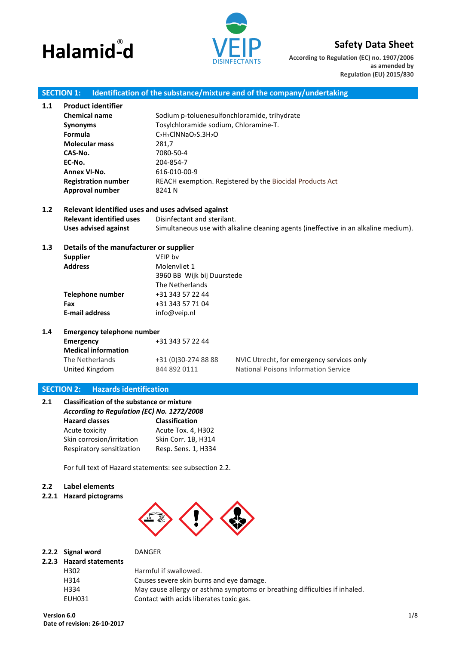# **Halamid-d ®**



# **Safety Data Sheet**

**According to Regulation (EC) no. 1907/2006 as amended by Regulation (EU) 2015/830**

# **SECTION 1: Identification of the substance/mixture and of the company/undertaking**

| 1.1 | <b>Product identifier</b>                         |                                                                       |                                                                                     |  |  |  |
|-----|---------------------------------------------------|-----------------------------------------------------------------------|-------------------------------------------------------------------------------------|--|--|--|
|     | <b>Chemical name</b>                              | Sodium p-toluenesulfonchloramide, trihydrate                          |                                                                                     |  |  |  |
|     | <b>Synonyms</b>                                   | Tosylchloramide sodium, Chloramine-T.                                 |                                                                                     |  |  |  |
|     | Formula                                           | C <sub>7</sub> H <sub>7</sub> ClNNaO <sub>2</sub> S.3H <sub>2</sub> O |                                                                                     |  |  |  |
|     | <b>Molecular mass</b>                             | 281,7                                                                 |                                                                                     |  |  |  |
|     | CAS-No.                                           | 7080-50-4                                                             |                                                                                     |  |  |  |
|     | EC-No.                                            | 204-854-7                                                             |                                                                                     |  |  |  |
|     | Annex VI-No.                                      | 616-010-00-9                                                          |                                                                                     |  |  |  |
|     | <b>Registration number</b>                        | REACH exemption. Registered by the Biocidal Products Act              |                                                                                     |  |  |  |
|     | Approval number                                   | 8241N                                                                 |                                                                                     |  |  |  |
| 1.2 | Relevant identified uses and uses advised against |                                                                       |                                                                                     |  |  |  |
|     | <b>Relevant identified uses</b>                   | Disinfectant and sterilant.                                           |                                                                                     |  |  |  |
|     | <b>Uses advised against</b>                       |                                                                       | Simultaneous use with alkaline cleaning agents (ineffective in an alkaline medium). |  |  |  |
| 1.3 | Details of the manufacturer or supplier           |                                                                       |                                                                                     |  |  |  |
|     | <b>Supplier</b>                                   | VEIP by                                                               |                                                                                     |  |  |  |
|     | <b>Address</b>                                    | Molenvliet 1                                                          |                                                                                     |  |  |  |
|     |                                                   | 3960 BB Wijk bij Duurstede                                            |                                                                                     |  |  |  |
|     |                                                   | The Netherlands                                                       |                                                                                     |  |  |  |
|     | <b>Telephone number</b>                           | +31 343 57 22 44                                                      |                                                                                     |  |  |  |
|     | Fax                                               | +31 343 57 71 04                                                      |                                                                                     |  |  |  |
|     | <b>E-mail address</b>                             | info@veip.nl                                                          |                                                                                     |  |  |  |
| 1.4 | <b>Emergency telephone number</b>                 |                                                                       |                                                                                     |  |  |  |
|     | <b>Emergency</b>                                  | +31 343 57 22 44                                                      |                                                                                     |  |  |  |
|     | <b>Medical information</b>                        |                                                                       |                                                                                     |  |  |  |
|     | The Netherlands                                   | +31 (0)30-274 88 88                                                   | NVIC Utrecht, for emergency services only                                           |  |  |  |
|     | United Kingdom                                    | 844 892 0111                                                          | National Poisons Information Service                                                |  |  |  |
|     |                                                   |                                                                       |                                                                                     |  |  |  |

# **SECTION 2: Hazards identification**

| 2.1 | <b>Classification of the substance or mixture</b><br>According to Regulation (EC) No. 1272/2008 |                       |  |  |  |
|-----|-------------------------------------------------------------------------------------------------|-----------------------|--|--|--|
|     | <b>Hazard classes</b>                                                                           | <b>Classification</b> |  |  |  |
|     | Acute toxicity                                                                                  | Acute Tox. 4, H302    |  |  |  |
|     | Skin corrosion/irritation                                                                       | Skin Corr. 1B, H314   |  |  |  |
|     | Respiratory sensitization                                                                       | Resp. Sens. 1, H334   |  |  |  |

For full text of Hazard statements: see subsection 2.2.

# **2.2 Label elements**

**2.2.1 Hazard pictograms**



| 2.2.2 Signal word       | <b>DANGER</b>                                                              |
|-------------------------|----------------------------------------------------------------------------|
| 2.2.3 Hazard statements |                                                                            |
| H302                    | Harmful if swallowed.                                                      |
| H314                    | Causes severe skin burns and eye damage.                                   |
| H334                    | May cause allergy or asthma symptoms or breathing difficulties if inhaled. |
| EUH031                  | Contact with acids liberates toxic gas.                                    |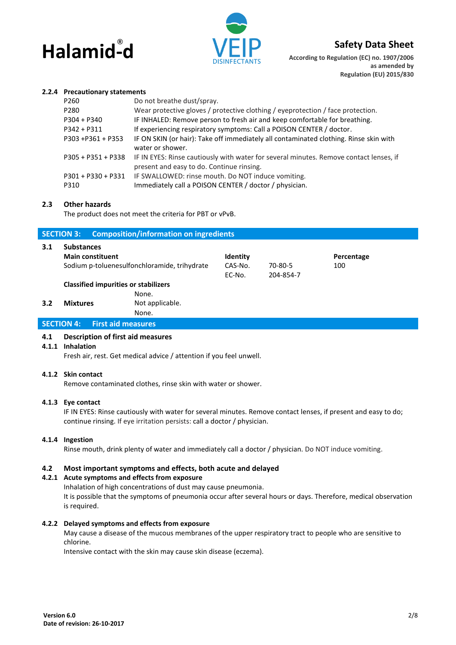



**According to Regulation (EC) no. 1907/2006 as amended by Regulation (EU) 2015/830**

#### **2.2.4 Precautionary statements**

| P260               | Do not breathe dust/spray.                                                             |
|--------------------|----------------------------------------------------------------------------------------|
| P280               | Wear protective gloves / protective clothing / eyeprotection / face protection.        |
| P304 + P340        | IF INHALED: Remove person to fresh air and keep comfortable for breathing.             |
| P342 + P311        | If experiencing respiratory symptoms: Call a POISON CENTER / doctor.                   |
| P303 +P361 + P353  | IF ON SKIN (or hair): Take off immediately all contaminated clothing. Rinse skin with  |
|                    | water or shower.                                                                       |
| P305 + P351 + P338 | IF IN EYES: Rinse cautiously with water for several minutes. Remove contact lenses, if |
|                    | present and easy to do. Continue rinsing.                                              |
| P301 + P330 + P331 | IF SWALLOWED: rinse mouth. Do NOT induce vomiting.                                     |
| P310               | Immediately call a POISON CENTER / doctor / physician.                                 |
|                    |                                                                                        |

#### **2.3 Other hazards**

The product does not meet the criteria for PBT or vPvB.

|                                             | <b>SECTION 3:</b>                              | <b>Composition/information on ingredients</b> |                     |           |                   |
|---------------------------------------------|------------------------------------------------|-----------------------------------------------|---------------------|-----------|-------------------|
| 3.1                                         | <b>Substances</b><br><b>Main constituent</b>   | Sodium p-toluenesulfonchloramide, trihydrate  | Identity<br>CAS-No. | 70-80-5   | Percentage<br>100 |
|                                             |                                                |                                               | EC-No.              | 204-854-7 |                   |
| <b>Classified impurities or stabilizers</b> |                                                |                                               |                     |           |                   |
|                                             |                                                | None.                                         |                     |           |                   |
| 3.2                                         | <b>Mixtures</b>                                | Not applicable.                               |                     |           |                   |
|                                             |                                                | None.                                         |                     |           |                   |
|                                             | <b>First aid measures</b><br><b>SECTION 4:</b> |                                               |                     |           |                   |

#### **4.1 Description of first aid measures**

## **4.1.1 Inhalation**

Fresh air, rest. Get medical advice / attention if you feel unwell.

#### **4.1.2 Skin contact**

Remove contaminated clothes, rinse skin with water or shower.

#### **4.1.3 Eye contact**

IF IN EYES: Rinse cautiously with water for several minutes. Remove contact lenses, if present and easy to do; continue rinsing. If eye irritation persists: call a doctor / physician.

#### **4.1.4 Ingestion**

Rinse mouth, drink plenty of water and immediately call a doctor / physician. Do NOT induce vomiting.

#### **4.2 Most important symptoms and effects, both acute and delayed**

# **4.2.1 Acute symptoms and effects from exposure**

Inhalation of high concentrations of dust may cause pneumonia.

It is possible that the symptoms of pneumonia occur after several hours or days. Therefore, medical observation is required.

#### **4.2.2 Delayed symptoms and effects from exposure**

May cause a disease of the mucous membranes of the upper respiratory tract to people who are sensitive to chlorine.

Intensive contact with the skin may cause skin disease (eczema).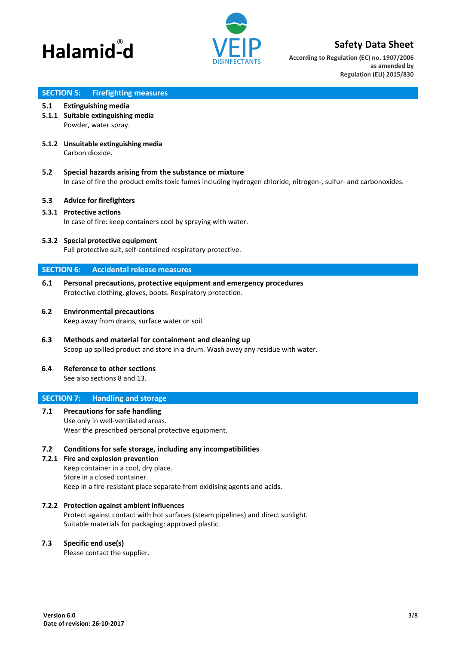



**According to Regulation (EC) no. 1907/2006 as amended by Regulation (EU) 2015/830**

# **SECTION 5: Firefighting measures**

#### **5.1 Extinguishing media**

- **5.1.1 Suitable extinguishing media** Powder, water spray.
- **5.1.2 Unsuitable extinguishing media** Carbon dioxide.
- **5.2 Special hazards arising from the substance or mixture** In case of fire the product emits toxic fumes including hydrogen chloride, nitrogen-, sulfur- and carbonoxides.

## **5.3 Advice for firefighters**

## **5.3.1 Protective actions**

In case of fire: keep containers cool by spraying with water.

#### **5.3.2 Special protective equipment**

Full protective suit, self-contained respiratory protective.

# **SECTION 6: Accidental release measures**

**6.1 Personal precautions, protective equipment and emergency procedures** Protective clothing, gloves, boots. Respiratory protection.

#### **6.2 Environmental precautions**

Keep away from drains, surface water or soil.

**6.3 Methods and material for containment and cleaning up** Scoop up spilled product and store in a drum. Wash away any residue with water.

# **6.4 Reference to other sections**

See also sections 8 and 13.

# **SECTION 7: Handling and storage**

**7.1 Precautions for safe handling** Use only in well-ventilated areas. Wear the prescribed personal protective equipment.

#### **7.2 Conditions for safe storage, including any incompatibilities**

**7.2.1 Fire and explosion prevention** Keep container in a cool, dry place. Store in a closed container. Keep in a fire-resistant place separate from oxidising agents and acids.

#### **7.2.2 Protection against ambient influences**

Protect against contact with hot surfaces (steam pipelines) and direct sunlight. Suitable materials for packaging: approved plastic.

#### **7.3 Specific end use(s)**

Please contact the supplier.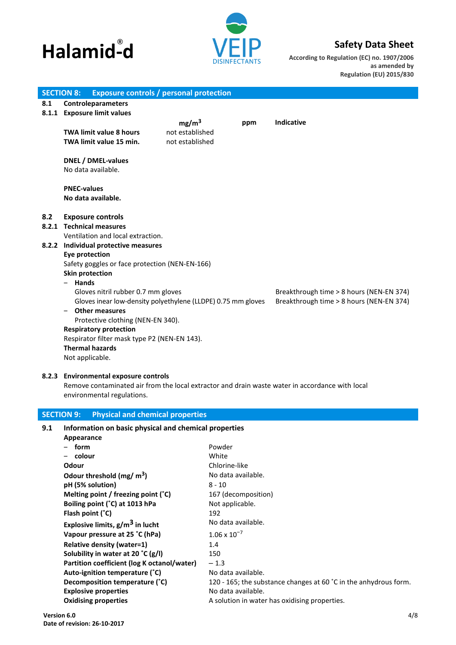



**According to Regulation (EC) no. 1907/2006 as amended by Regulation (EU) 2015/830**

|     | <b>Exposure controls / personal protection</b><br><b>SECTION 8:</b>                             |                   |                                     |                                          |
|-----|-------------------------------------------------------------------------------------------------|-------------------|-------------------------------------|------------------------------------------|
| 8.1 | <b>Controleparameters</b>                                                                       |                   |                                     |                                          |
|     | 8.1.1 Exposure limit values                                                                     |                   |                                     |                                          |
|     |                                                                                                 | mg/m <sup>3</sup> | ppm                                 | Indicative                               |
|     | <b>TWA limit value 8 hours</b>                                                                  | not established   |                                     |                                          |
|     | TWA limit value 15 min.                                                                         | not established   |                                     |                                          |
|     |                                                                                                 |                   |                                     |                                          |
|     | <b>DNEL / DMEL-values</b>                                                                       |                   |                                     |                                          |
|     | No data available.                                                                              |                   |                                     |                                          |
|     | <b>PNEC-values</b>                                                                              |                   |                                     |                                          |
|     | No data available.                                                                              |                   |                                     |                                          |
|     |                                                                                                 |                   |                                     |                                          |
| 8.2 | <b>Exposure controls</b>                                                                        |                   |                                     |                                          |
|     | 8.2.1 Technical measures                                                                        |                   |                                     |                                          |
|     | Ventilation and local extraction.                                                               |                   |                                     |                                          |
|     | 8.2.2 Individual protective measures                                                            |                   |                                     |                                          |
|     | <b>Eye protection</b>                                                                           |                   |                                     |                                          |
|     | Safety goggles or face protection (NEN-EN-166)                                                  |                   |                                     |                                          |
|     | <b>Skin protection</b>                                                                          |                   |                                     |                                          |
|     | - Hands                                                                                         |                   |                                     |                                          |
|     | Gloves nitril rubber 0.7 mm gloves                                                              |                   |                                     | Breakthrough time > 8 hours (NEN-EN 374) |
|     | Gloves inear low-density polyethylene (LLDPE) 0.75 mm gloves                                    |                   |                                     | Breakthrough time > 8 hours (NEN-EN 374) |
|     | <b>Other measures</b>                                                                           |                   |                                     |                                          |
|     | Protective clothing (NEN-EN 340).                                                               |                   |                                     |                                          |
|     | <b>Respiratory protection</b>                                                                   |                   |                                     |                                          |
|     | Respirator filter mask type P2 (NEN-EN 143).                                                    |                   |                                     |                                          |
|     | <b>Thermal hazards</b>                                                                          |                   |                                     |                                          |
|     | Not applicable.                                                                                 |                   |                                     |                                          |
|     |                                                                                                 |                   |                                     |                                          |
|     | 8.2.3 Environmental exposure controls                                                           |                   |                                     |                                          |
|     | Remove contaminated air from the local extractor and drain waste water in accordance with local |                   |                                     |                                          |
|     | environmental regulations.                                                                      |                   |                                     |                                          |
|     | <b>SECTION 9:</b>                                                                               |                   |                                     |                                          |
|     | <b>Physical and chemical properties</b>                                                         |                   |                                     |                                          |
| 9.1 | Information on basic physical and chemical properties                                           |                   |                                     |                                          |
|     | Appearance                                                                                      |                   |                                     |                                          |
|     | form                                                                                            |                   | Powder                              |                                          |
|     | colour                                                                                          |                   | White                               |                                          |
|     | Odour                                                                                           |                   | Chlorine-like<br>No data available. |                                          |
|     | Odour threshold $(mg/m^3)$                                                                      |                   |                                     |                                          |
|     | pH (5% solution)                                                                                |                   | $8 - 10$                            |                                          |
|     | Melting point / freezing point (°C)                                                             |                   | 167 (decomposition)                 |                                          |
|     | Boiling point (°C) at 1013 hPa                                                                  |                   | Not applicable.                     |                                          |
|     | Flash point (°C)                                                                                |                   | 192                                 |                                          |
|     | Explosive limits, g/m <sup>3</sup> in lucht                                                     |                   | No data available.                  |                                          |

**Decomposition temperature (°C)** 120 - 165; the substance changes at 60 °C in the anhydrous form.

**Oxidising properties** A solution in water has oxidising properties.

**Vapour pressure at 25 °C (hPa)** 1.06 x 10<sup>-7</sup>

Auto-ignition temperature (°C) No data available.

**Explosive properties** No data available.

**Relative density (water=1)** 1.4 **Solubility in water at 20 °C (g/l)** 150 Partition coefficient (log K octanol/water) – 1.3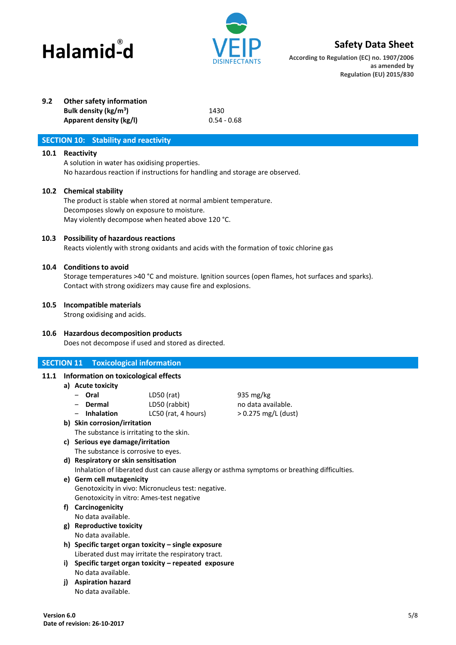



**According to Regulation (EC) no. 1907/2006 as amended by Regulation (EU) 2015/830**

# **9.2 Other safety information**

**Bulk density (kg/m<sup>3</sup> Apparent density (kg/l)** 0.54 - 0.68

**)** 1430

# **SECTION 10: Stability and reactivity**

# **10.1 Reactivity**

A solution in water has oxidising properties. No hazardous reaction if instructions for handling and storage are observed.

# **10.2 Chemical stability**

The product is stable when stored at normal ambient temperature. Decomposes slowly on exposure to moisture. May violently decompose when heated above 120 °C.

# **10.3 Possibility of hazardous reactions**

Reacts violently with strong oxidants and acids with the formation of toxic chlorine gas

# **10.4 Conditions to avoid**

Storage temperatures >40 °C and moisture. Ignition sources (open flames, hot surfaces and sparks). Contact with strong oxidizers may cause fire and explosions.

# **10.5 Incompatible materials**

Strong oxidising and acids.

# **10.6 Hazardous decomposition products**

Does not decompose if used and stored as directed.

# **SECTION 11 Toxicological information**

# **11.1 Information on toxicological effects**

- **a) Acute toxicity**
	- ‒ **Oral** LD50 (rat) 935 mg/kg
	- ‒ **Dermal** LD50 (rabbit) no data available.
	- ‒ **Inhalation** LC50 (rat, 4 hours) > 0.275 mg/L (dust)
- **b) Skin corrosion/irritation** The substance is irritating to the skin.
- **c) Serious eye damage/irritation** The substance is corrosive to eyes.
- **d) Respiratory or skin sensitisation** Inhalation of liberated dust can cause allergy or asthma symptoms or breathing difficulties.
- **e) Germ cell mutagenicity** Genotoxicity in vivo: Micronucleus test: negative. Genotoxicity in vitro: Ames-test negative
- **f) Carcinogenicity**
	- No data available.
- **g) Reproductive toxicity**
	- No data available.
- **h) Specific target organ toxicity – single exposure** Liberated dust may irritate the respiratory tract.
- **i) Specific target organ toxicity – repeated exposure** No data available.
- **j) Aspiration hazard** No data available.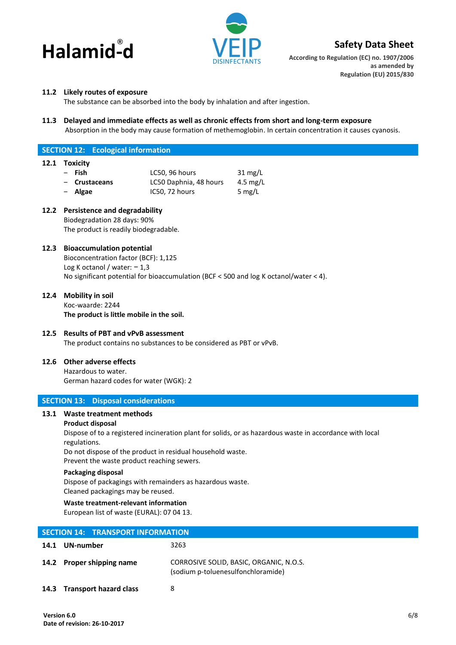



**According to Regulation (EC) no. 1907/2006 as amended by Regulation (EU) 2015/830**

# **11.2 Likely routes of exposure**

The substance can be absorbed into the body by inhalation and after ingestion.

**11.3 Delayed and immediate effects as well as chronic effects from short and long-term exposure** Absorption in the body may cause formation of methemoglobin. In certain concentration it causes cyanosis.

# **SECTION 12: Ecological information**

## **12.1 Toxicity**

| – Fish        | LC50, 96 hours         | $31 \text{ mg/L}$ |
|---------------|------------------------|-------------------|
| - Crustaceans | LC50 Daphnia, 48 hours | 4.5 mg/L          |
| - Algae       | IC50, 72 hours         | 5 mg/L            |

# **12.2 Persistence and degradability**

Biodegradation 28 days: 90% The product is readily biodegradable.

# **12.3 Bioaccumulation potential**

Bioconcentration factor (BCF): 1,125 Log K octanol / water: − 1,3 No significant potential for bioaccumulation (BCF < 500 and log K octanol/water < 4).

## **12.4 Mobility in soil**

Koc-waarde: 2244 **The product is little mobile in the soil.**

## **12.5 Results of PBT and vPvB assessment**

The product contains no substances to be considered as PBT or vPvB.

## **12.6 Other adverse effects**

Hazardous to water.

German hazard codes for water (WGK): 2

## **SECTION 13: Disposal considerations**

# **13.1 Waste treatment methods**

## **Product disposal**

Dispose of to a registered incineration plant for solids, or as hazardous waste in accordance with local regulations.

Do not dispose of the product in residual household waste.

Prevent the waste product reaching sewers.

#### **Packaging disposal**

Dispose of packagings with remainders as hazardous waste. Cleaned packagings may be reused.

# **Waste treatment-relevant information**

European list of waste (EURAL): 07 04 13.

| <b>SECTION 14: TRANSPORT INFORMATION</b> |                               |                                                                               |  |  |
|------------------------------------------|-------------------------------|-------------------------------------------------------------------------------|--|--|
|                                          | 14.1 UN-number                | 3263                                                                          |  |  |
|                                          | 14.2 Proper shipping name     | CORROSIVE SOLID, BASIC, ORGANIC, N.O.S.<br>(sodium p-toluenesulfonchloramide) |  |  |
| 14.3                                     | <b>Transport hazard class</b> | 8                                                                             |  |  |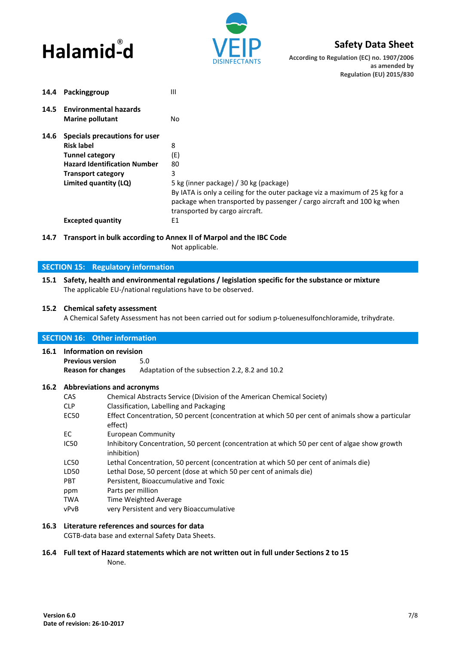



**According to Regulation (EC) no. 1907/2006 as amended by Regulation (EU) 2015/830**

| 14.4 | Packinggroup                        | Ш                                                                                                                                                                                        |
|------|-------------------------------------|------------------------------------------------------------------------------------------------------------------------------------------------------------------------------------------|
| 14.5 | <b>Environmental hazards</b>        |                                                                                                                                                                                          |
|      | <b>Marine pollutant</b>             | No.                                                                                                                                                                                      |
| 14.6 | Specials precautions for user       |                                                                                                                                                                                          |
|      | <b>Risk label</b>                   | 8                                                                                                                                                                                        |
|      | <b>Tunnel category</b>              | (E)                                                                                                                                                                                      |
|      | <b>Hazard Identification Number</b> | 80                                                                                                                                                                                       |
|      | <b>Transport category</b>           | 3                                                                                                                                                                                        |
|      | Limited quantity (LQ)               | 5 kg (inner package) / 30 kg (package)                                                                                                                                                   |
|      |                                     | By IATA is only a ceiling for the outer package viz a maximum of 25 kg for a<br>package when transported by passenger / cargo aircraft and 100 kg when<br>transported by cargo aircraft. |
|      | <b>Excepted quantity</b>            | Ε1                                                                                                                                                                                       |

**14.7 Transport in bulk according to Annex II of Marpol and the IBC Code** Not applicable.

# **SECTION 15: Regulatory information**

**15.1 Safety, health and environmental regulations / legislation specific for the substance or mixture** The applicable EU-/national regulations have to be observed.

## **15.2 Chemical safety assessment**

A Chemical Safety Assessment has not been carried out for sodium p-toluenesulfonchloramide, trihydrate.

# **SECTION 16: Other information 16.1 Information on revision Previous version** 5.0 **Reason for changes** Adaptation of the subsection 2.2, 8.2 and 10.2 **16.2 Abbreviations and acronyms** CAS Chemical Abstracts Service (Division of the American Chemical Society) CLP Classification, Labelling and Packaging EC50 Effect Concentration, 50 percent (concentration at which 50 per cent of animals show a particular effect) EC European Community IC50 Inhibitory Concentration, 50 percent (concentration at which 50 per cent of algae show growth inhibition) LC50 Lethal Concentration, 50 percent (concentration at which 50 per cent of animals die) LD50 Lethal Dose, 50 percent (dose at which 50 per cent of animals die) PBT Persistent, Bioaccumulative and Toxic ppm Parts per million TWA Time Weighted Average vPvB very Persistent and very Bioaccumulative **16.3 Literature references and sources for data**

CGTB-data base and external Safety Data Sheets.

# **16.4 Full text of Hazard statements which are not written out in full under Sections 2 to 15**

None.